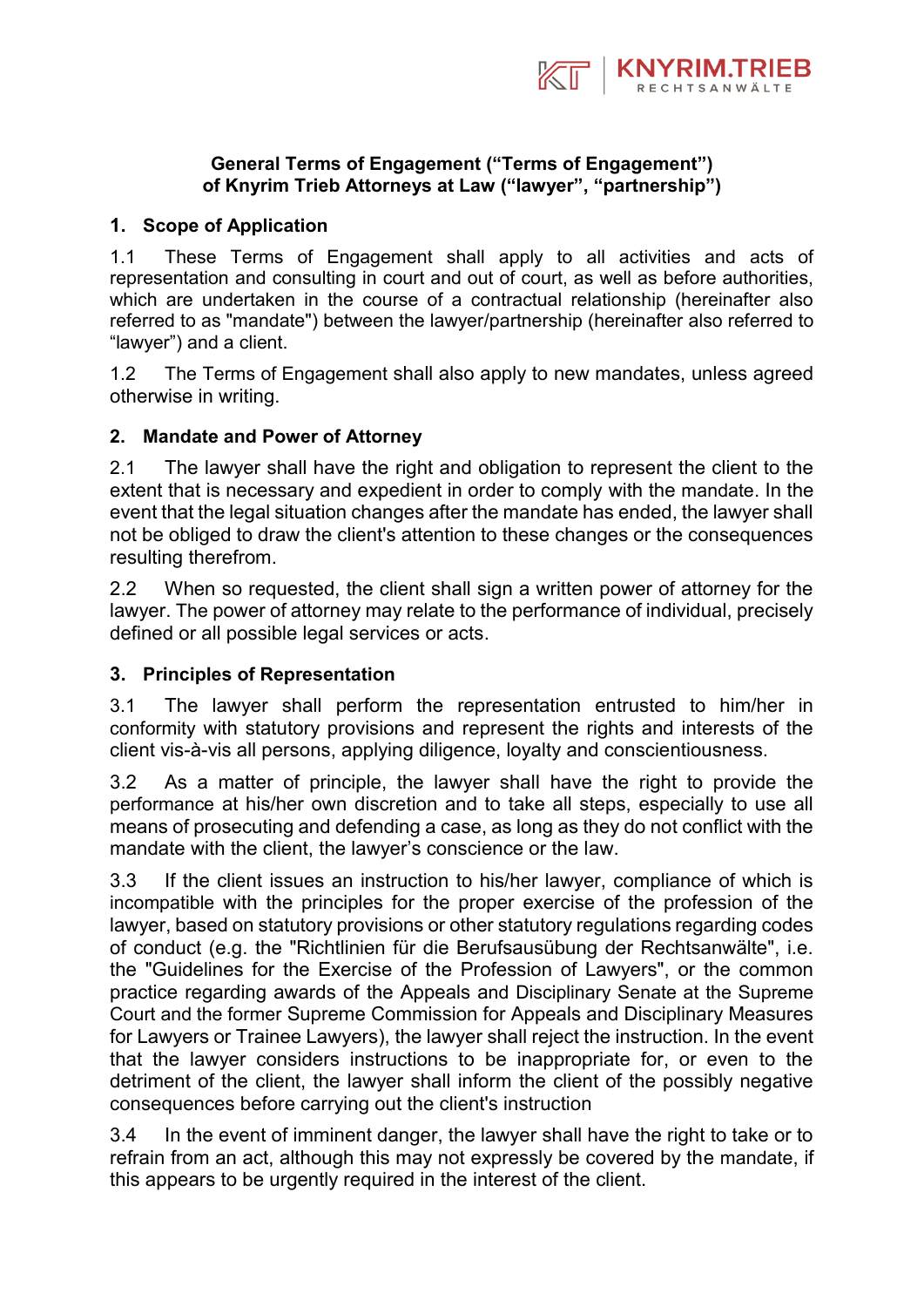

## **General Terms of Engagement ("Terms of Engagement") of Knyrim Trieb Attorneys at Law ("lawyer", "partnership")**

## **1. Scope of Application**

1.1 These Terms of Engagement shall apply to all activities and acts of representation and consulting in court and out of court, as well as before authorities, which are undertaken in the course of a contractual relationship (hereinafter also referred to as "mandate") between the lawyer/partnership (hereinafter also referred to "lawyer") and a client.

1.2 The Terms of Engagement shall also apply to new mandates, unless agreed otherwise in writing.

### **2. Mandate and Power of Attorney**

2.1 The lawyer shall have the right and obligation to represent the client to the extent that is necessary and expedient in order to comply with the mandate. In the event that the legal situation changes after the mandate has ended, the lawyer shall not be obliged to draw the client's attention to these changes or the consequences resulting therefrom.

2.2 When so requested, the client shall sign a written power of attorney for the lawyer. The power of attorney may relate to the performance of individual, precisely defined or all possible legal services or acts.

#### **3. Principles of Representation**

3.1 The lawyer shall perform the representation entrusted to him/her in conformity with statutory provisions and represent the rights and interests of the client vis-à-vis all persons, applying diligence, loyalty and conscientiousness.

3.2 As a matter of principle, the lawyer shall have the right to provide the performance at his/her own discretion and to take all steps, especially to use all means of prosecuting and defending a case, as long as they do not conflict with the mandate with the client, the lawyer's conscience or the law.

3.3 If the client issues an instruction to his/her lawyer, compliance of which is incompatible with the principles for the proper exercise of the profession of the lawyer, based on statutory provisions or other statutory regulations regarding codes of conduct (e.g. the "Richtlinien für die Berufsausübung der Rechtsanwälte", i.e. the "Guidelines for the Exercise of the Profession of Lawyers", or the common practice regarding awards of the Appeals and Disciplinary Senate at the Supreme Court and the former Supreme Commission for Appeals and Disciplinary Measures for Lawyers or Trainee Lawyers), the lawyer shall reject the instruction. In the event that the lawyer considers instructions to be inappropriate for, or even to the detriment of the client, the lawyer shall inform the client of the possibly negative consequences before carrying out the client's instruction

3.4 In the event of imminent danger, the lawyer shall have the right to take or to refrain from an act, although this may not expressly be covered by the mandate, if this appears to be urgently required in the interest of the client.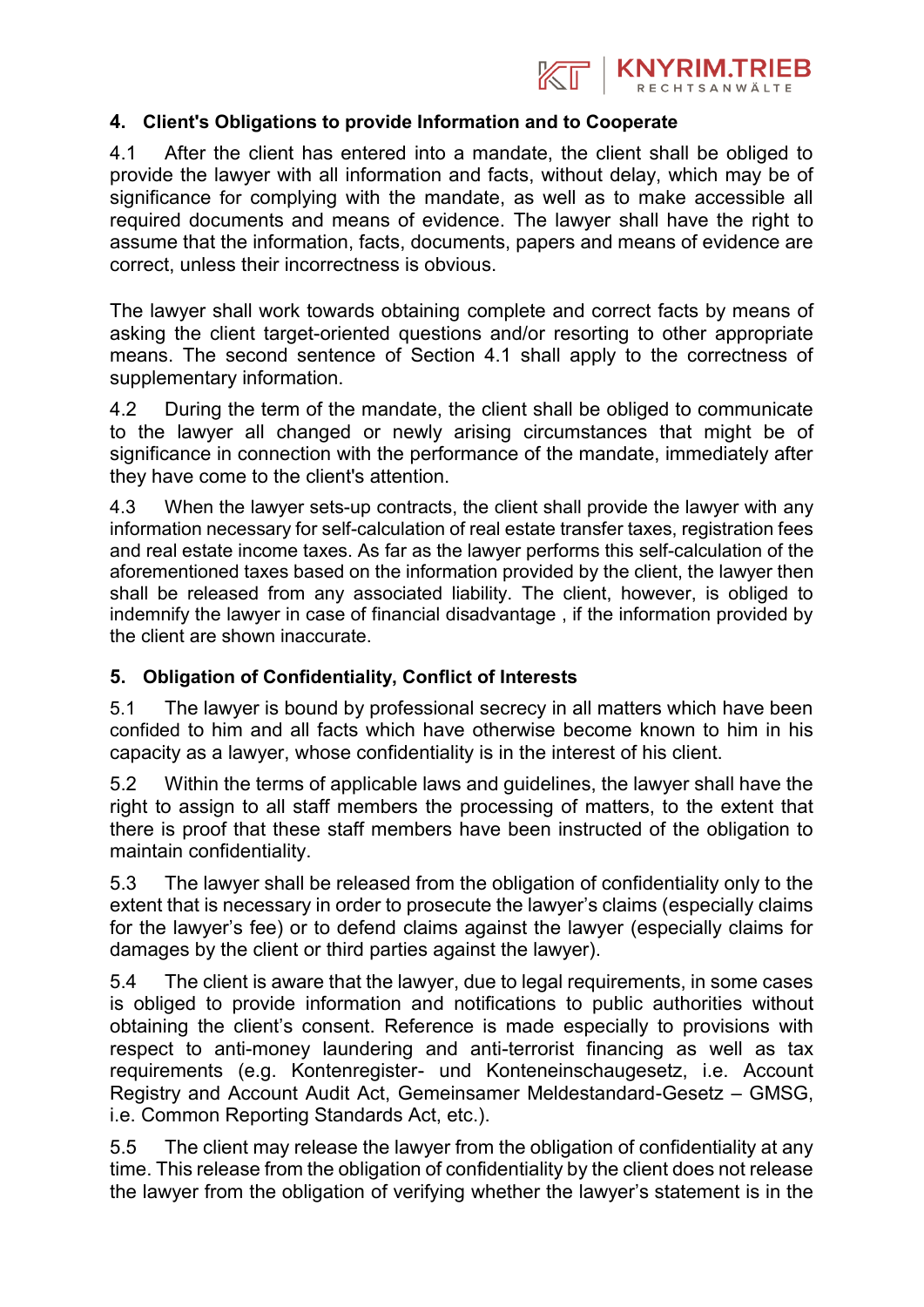

## **4. Client's Obligations to provide Information and to Cooperate**

4.1 After the client has entered into a mandate, the client shall be obliged to provide the lawyer with all information and facts, without delay, which may be of significance for complying with the mandate, as well as to make accessible all required documents and means of evidence. The lawyer shall have the right to assume that the information, facts, documents, papers and means of evidence are correct, unless their incorrectness is obvious.

The lawyer shall work towards obtaining complete and correct facts by means of asking the client target-oriented questions and/or resorting to other appropriate means. The second sentence of Section 4.1 shall apply to the correctness of supplementary information.

4.2 During the term of the mandate, the client shall be obliged to communicate to the lawyer all changed or newly arising circumstances that might be of significance in connection with the performance of the mandate, immediately after they have come to the client's attention.

4.3 When the lawyer sets-up contracts, the client shall provide the lawyer with any information necessary for self-calculation of real estate transfer taxes, registration fees and real estate income taxes. As far as the lawyer performs this self-calculation of the aforementioned taxes based on the information provided by the client, the lawyer then shall be released from any associated liability. The client, however, is obliged to indemnify the lawyer in case of financial disadvantage , if the information provided by the client are shown inaccurate.

## **5. Obligation of Confidentiality, Conflict of Interests**

5.1 The lawyer is bound by professional secrecy in all matters which have been confided to him and all facts which have otherwise become known to him in his capacity as a lawyer, whose confidentiality is in the interest of his client.

5.2 Within the terms of applicable laws and guidelines, the lawyer shall have the right to assign to all staff members the processing of matters, to the extent that there is proof that these staff members have been instructed of the obligation to maintain confidentiality.

5.3 The lawyer shall be released from the obligation of confidentiality only to the extent that is necessary in order to prosecute the lawyer's claims (especially claims for the lawyer's fee) or to defend claims against the lawyer (especially claims for damages by the client or third parties against the lawyer).

5.4 The client is aware that the lawyer, due to legal requirements, in some cases is obliged to provide information and notifications to public authorities without obtaining the client's consent. Reference is made especially to provisions with respect to anti-money laundering and anti-terrorist financing as well as tax requirements (e.g. Kontenregister- und Konteneinschaugesetz, i.e. Account Registry and Account Audit Act, Gemeinsamer Meldestandard-Gesetz – GMSG, i.e. Common Reporting Standards Act, etc.).

5.5 The client may release the lawyer from the obligation of confidentiality at any time. This release from the obligation of confidentiality by the client does not release the lawyer from the obligation of verifying whether the lawyer's statement is in the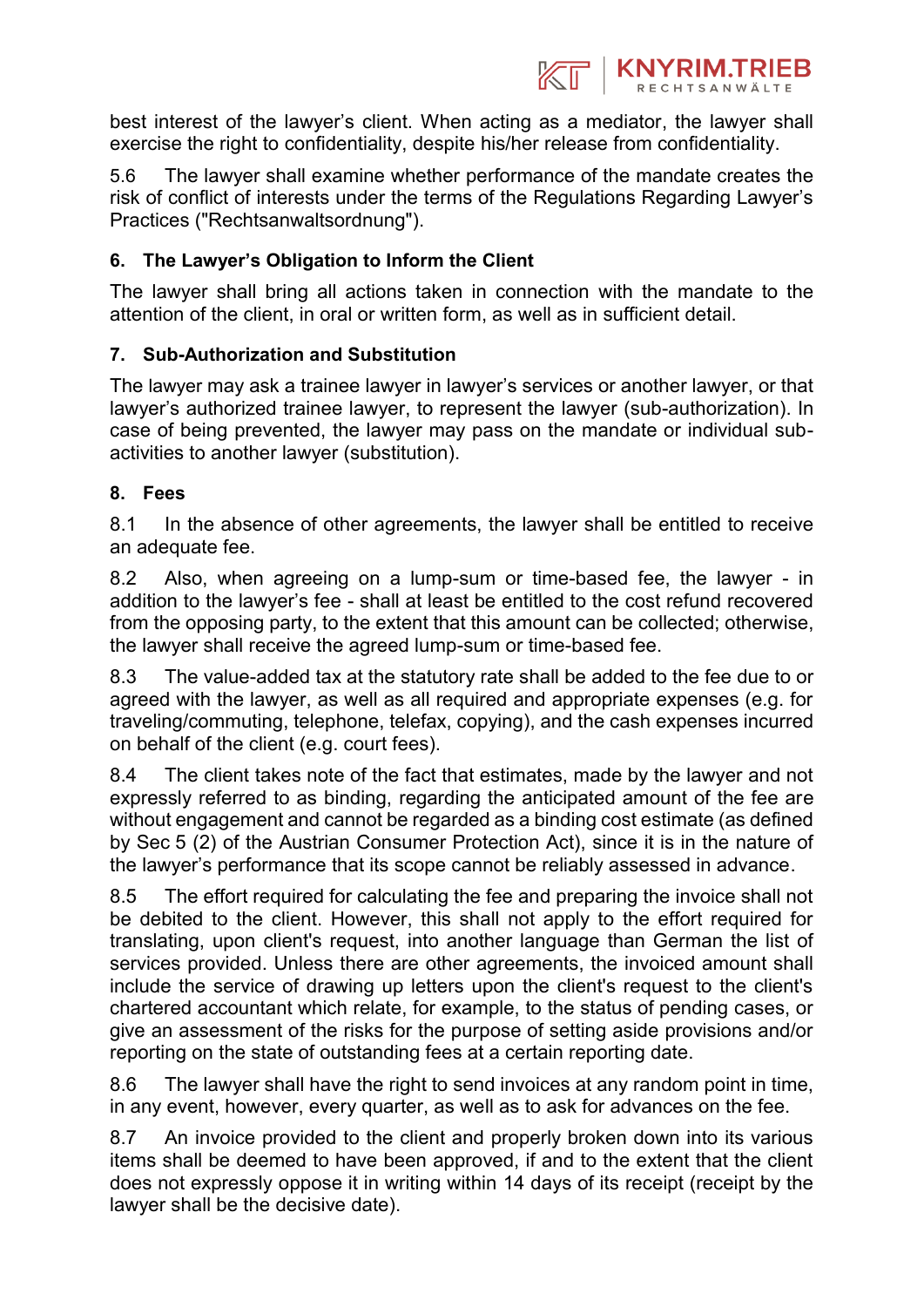

best interest of the lawyer's client. When acting as a mediator, the lawyer shall exercise the right to confidentiality, despite his/her release from confidentiality.

5.6 The lawyer shall examine whether performance of the mandate creates the risk of conflict of interests under the terms of the Regulations Regarding Lawyer's Practices ("Rechtsanwaltsordnung").

# **6. The Lawyer's Obligation to Inform the Client**

The lawyer shall bring all actions taken in connection with the mandate to the attention of the client, in oral or written form, as well as in sufficient detail.

# **7. Sub-Authorization and Substitution**

The lawyer may ask a trainee lawyer in lawyer's services or another lawyer, or that lawyer's authorized trainee lawyer, to represent the lawyer (sub-authorization). In case of being prevented, the lawyer may pass on the mandate or individual subactivities to another lawyer (substitution).

## **8. Fees**

8.1 In the absence of other agreements, the lawyer shall be entitled to receive an adequate fee.

8.2 Also, when agreeing on a lump-sum or time-based fee, the lawyer - in addition to the lawyer's fee - shall at least be entitled to the cost refund recovered from the opposing party, to the extent that this amount can be collected; otherwise, the lawyer shall receive the agreed lump-sum or time-based fee.

8.3 The value-added tax at the statutory rate shall be added to the fee due to or agreed with the lawyer, as well as all required and appropriate expenses (e.g. for traveling/commuting, telephone, telefax, copying), and the cash expenses incurred on behalf of the client (e.g. court fees).

8.4 The client takes note of the fact that estimates, made by the lawyer and not expressly referred to as binding, regarding the anticipated amount of the fee are without engagement and cannot be regarded as a binding cost estimate (as defined by Sec 5 (2) of the Austrian Consumer Protection Act), since it is in the nature of the lawyer's performance that its scope cannot be reliably assessed in advance.

8.5 The effort required for calculating the fee and preparing the invoice shall not be debited to the client. However, this shall not apply to the effort required for translating, upon client's request, into another language than German the list of services provided. Unless there are other agreements, the invoiced amount shall include the service of drawing up letters upon the client's request to the client's chartered accountant which relate, for example, to the status of pending cases, or give an assessment of the risks for the purpose of setting aside provisions and/or reporting on the state of outstanding fees at a certain reporting date.

8.6 The lawyer shall have the right to send invoices at any random point in time, in any event, however, every quarter, as well as to ask for advances on the fee.

8.7 An invoice provided to the client and properly broken down into its various items shall be deemed to have been approved, if and to the extent that the client does not expressly oppose it in writing within 14 days of its receipt (receipt by the lawyer shall be the decisive date).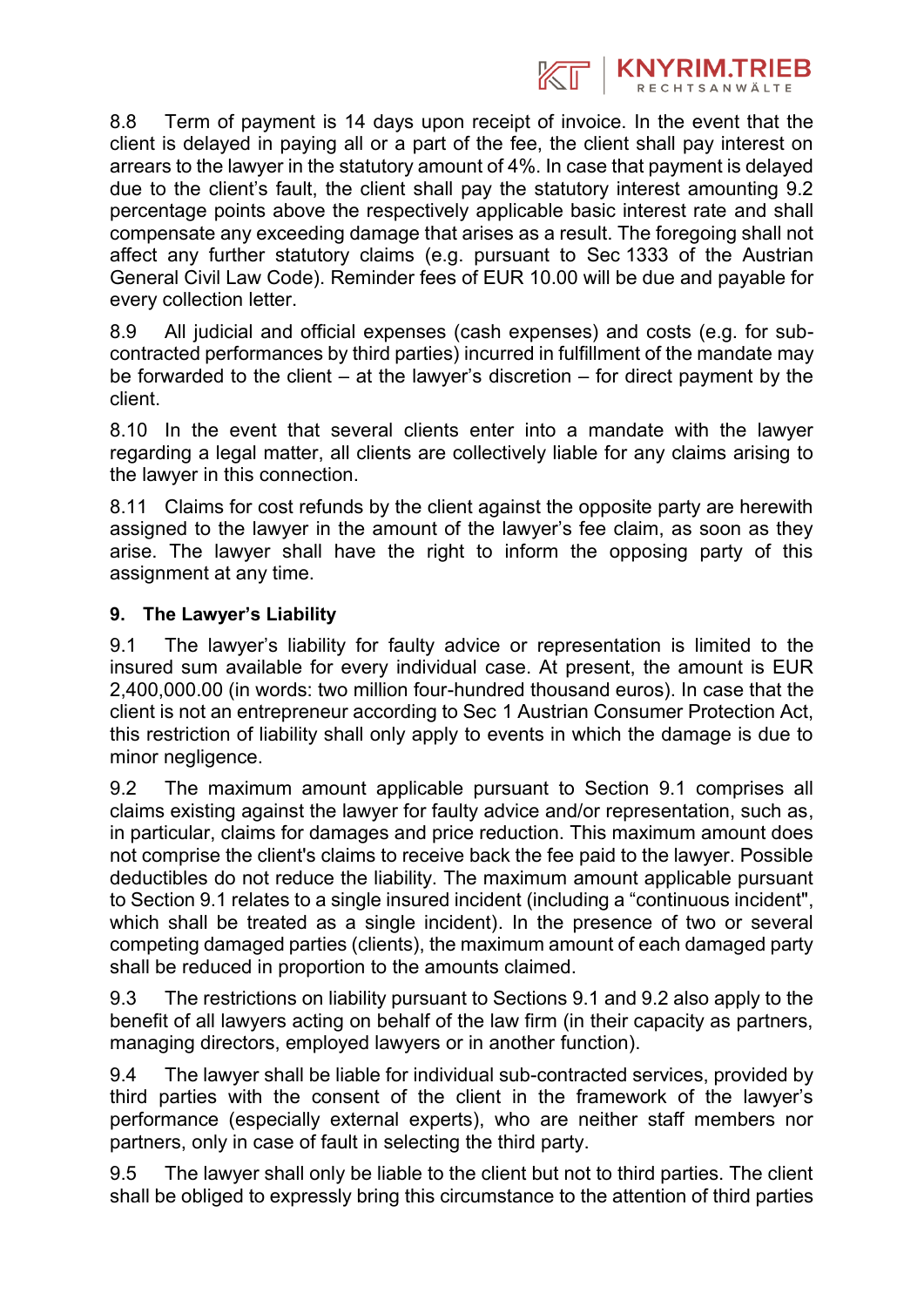

8.8 Term of payment is 14 days upon receipt of invoice. In the event that the client is delayed in paying all or a part of the fee, the client shall pay interest on arrears to the lawyer in the statutory amount of 4%. In case that payment is delayed due to the client's fault, the client shall pay the statutory interest amounting 9.2 percentage points above the respectively applicable basic interest rate and shall compensate any exceeding damage that arises as a result. The foregoing shall not affect any further statutory claims (e.g. pursuant to Sec 1333 of the Austrian General Civil Law Code). Reminder fees of EUR 10.00 will be due and payable for every collection letter.

8.9 All judicial and official expenses (cash expenses) and costs (e.g. for subcontracted performances by third parties) incurred in fulfillment of the mandate may be forwarded to the client  $-$  at the lawyer's discretion  $-$  for direct payment by the client.

8.10 In the event that several clients enter into a mandate with the lawyer regarding a legal matter, all clients are collectively liable for any claims arising to the lawyer in this connection.

8.11 Claims for cost refunds by the client against the opposite party are herewith assigned to the lawyer in the amount of the lawyer's fee claim, as soon as they arise. The lawyer shall have the right to inform the opposing party of this assignment at any time.

# **9. The Lawyer's Liability**

9.1 The lawyer's liability for faulty advice or representation is limited to the insured sum available for every individual case. At present, the amount is EUR 2,400,000.00 (in words: two million four-hundred thousand euros). In case that the client is not an entrepreneur according to Sec 1 Austrian Consumer Protection Act, this restriction of liability shall only apply to events in which the damage is due to minor negligence.

9.2 The maximum amount applicable pursuant to Section 9.1 comprises all claims existing against the lawyer for faulty advice and/or representation, such as, in particular, claims for damages and price reduction. This maximum amount does not comprise the client's claims to receive back the fee paid to the lawyer. Possible deductibles do not reduce the liability. The maximum amount applicable pursuant to Section 9.1 relates to a single insured incident (including a "continuous incident", which shall be treated as a single incident). In the presence of two or several competing damaged parties (clients), the maximum amount of each damaged party shall be reduced in proportion to the amounts claimed.

9.3 The restrictions on liability pursuant to Sections 9.1 and 9.2 also apply to the benefit of all lawyers acting on behalf of the law firm (in their capacity as partners, managing directors, employed lawyers or in another function).

9.4 The lawyer shall be liable for individual sub-contracted services, provided by third parties with the consent of the client in the framework of the lawyer's performance (especially external experts), who are neither staff members nor partners, only in case of fault in selecting the third party.

9.5 The lawyer shall only be liable to the client but not to third parties. The client shall be obliged to expressly bring this circumstance to the attention of third parties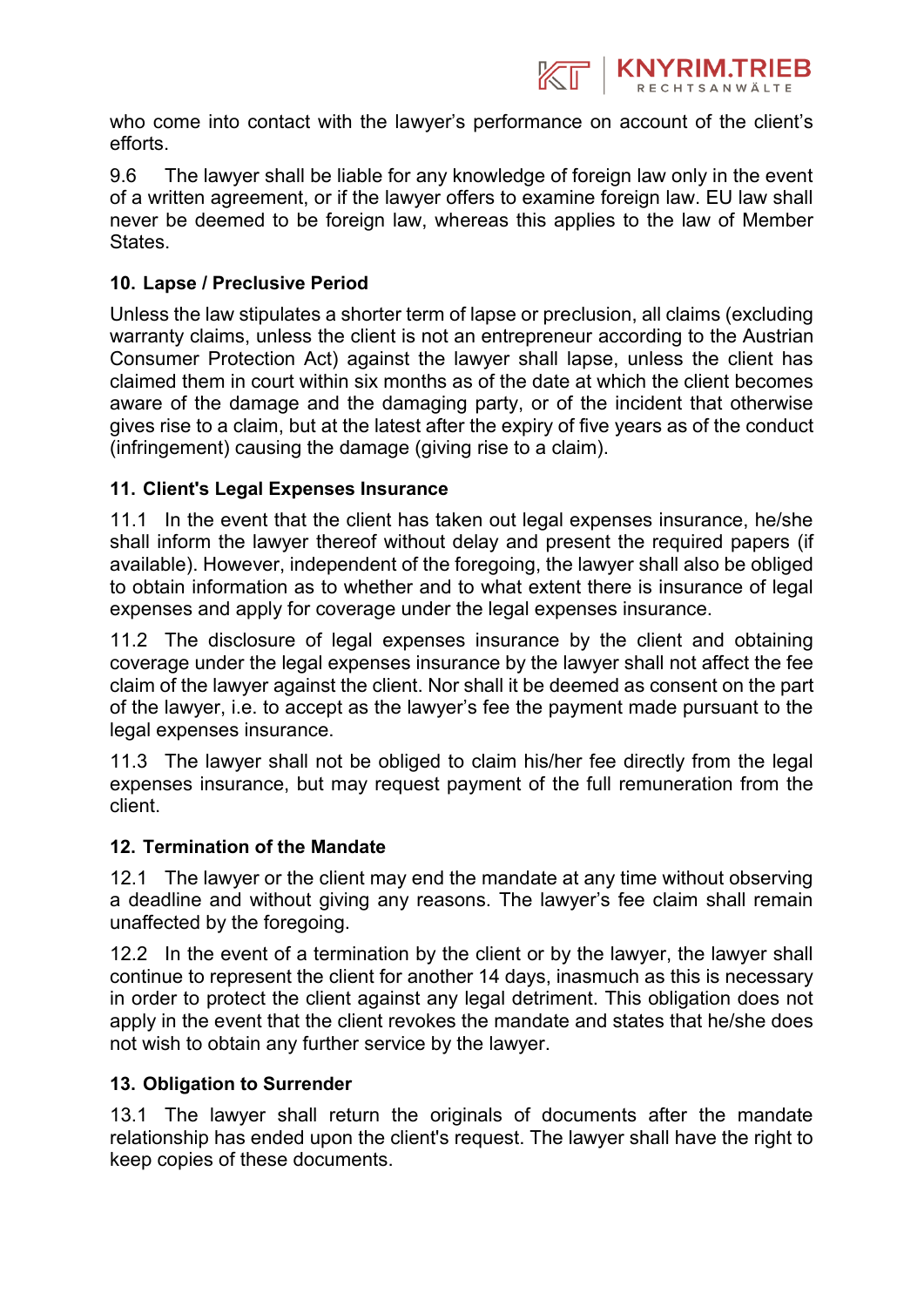

who come into contact with the lawyer's performance on account of the client's efforts.

9.6 The lawyer shall be liable for any knowledge of foreign law only in the event of a written agreement, or if the lawyer offers to examine foreign law. EU law shall never be deemed to be foreign law, whereas this applies to the law of Member States.

## **10. Lapse / Preclusive Period**

Unless the law stipulates a shorter term of lapse or preclusion, all claims (excluding warranty claims, unless the client is not an entrepreneur according to the Austrian Consumer Protection Act) against the lawyer shall lapse, unless the client has claimed them in court within six months as of the date at which the client becomes aware of the damage and the damaging party, or of the incident that otherwise gives rise to a claim, but at the latest after the expiry of five years as of the conduct (infringement) causing the damage (giving rise to a claim).

### **11. Client's Legal Expenses Insurance**

11.1 In the event that the client has taken out legal expenses insurance, he/she shall inform the lawyer thereof without delay and present the required papers (if available). However, independent of the foregoing, the lawyer shall also be obliged to obtain information as to whether and to what extent there is insurance of legal expenses and apply for coverage under the legal expenses insurance.

11.2 The disclosure of legal expenses insurance by the client and obtaining coverage under the legal expenses insurance by the lawyer shall not affect the fee claim of the lawyer against the client. Nor shall it be deemed as consent on the part of the lawyer, i.e. to accept as the lawyer's fee the payment made pursuant to the legal expenses insurance.

11.3 The lawyer shall not be obliged to claim his/her fee directly from the legal expenses insurance, but may request payment of the full remuneration from the client.

#### **12. Termination of the Mandate**

12.1 The lawyer or the client may end the mandate at any time without observing a deadline and without giving any reasons. The lawyer's fee claim shall remain unaffected by the foregoing.

12.2 In the event of a termination by the client or by the lawyer, the lawyer shall continue to represent the client for another 14 days, inasmuch as this is necessary in order to protect the client against any legal detriment. This obligation does not apply in the event that the client revokes the mandate and states that he/she does not wish to obtain any further service by the lawyer.

#### **13. Obligation to Surrender**

13.1 The lawyer shall return the originals of documents after the mandate relationship has ended upon the client's request. The lawyer shall have the right to keep copies of these documents.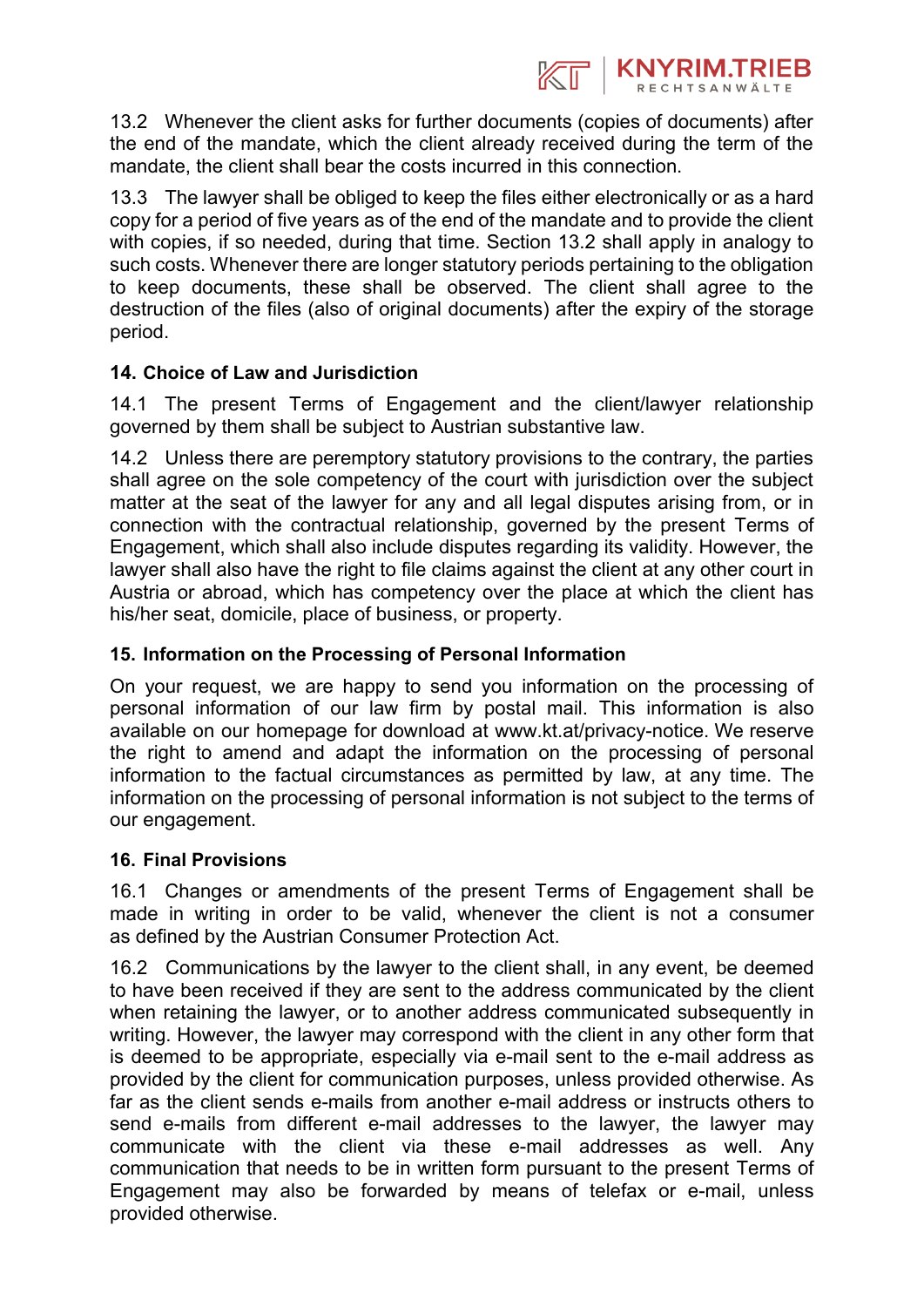

13.2 Whenever the client asks for further documents (copies of documents) after the end of the mandate, which the client already received during the term of the mandate, the client shall bear the costs incurred in this connection.

13.3 The lawyer shall be obliged to keep the files either electronically or as a hard copy for a period of five years as of the end of the mandate and to provide the client with copies, if so needed, during that time. Section 13.2 shall apply in analogy to such costs. Whenever there are longer statutory periods pertaining to the obligation to keep documents, these shall be observed. The client shall agree to the destruction of the files (also of original documents) after the expiry of the storage period.

## **14. Choice of Law and Jurisdiction**

14.1 The present Terms of Engagement and the client/lawyer relationship governed by them shall be subject to Austrian substantive law.

14.2 Unless there are peremptory statutory provisions to the contrary, the parties shall agree on the sole competency of the court with jurisdiction over the subject matter at the seat of the lawyer for any and all legal disputes arising from, or in connection with the contractual relationship, governed by the present Terms of Engagement, which shall also include disputes regarding its validity. However, the lawyer shall also have the right to file claims against the client at any other court in Austria or abroad, which has competency over the place at which the client has his/her seat, domicile, place of business, or property.

## **15. Information on the Processing of Personal Information**

On your request, we are happy to send you information on the processing of personal information of our law firm by postal mail. This information is also available on our homepage for download at www.kt.at/privacy-notice. We reserve the right to amend and adapt the information on the processing of personal information to the factual circumstances as permitted by law, at any time. The information on the processing of personal information is not subject to the terms of our engagement.

## **16. Final Provisions**

16.1 Changes or amendments of the present Terms of Engagement shall be made in writing in order to be valid, whenever the client is not a consumer as defined by the Austrian Consumer Protection Act.

16.2 Communications by the lawyer to the client shall, in any event, be deemed to have been received if they are sent to the address communicated by the client when retaining the lawyer, or to another address communicated subsequently in writing. However, the lawyer may correspond with the client in any other form that is deemed to be appropriate, especially via e-mail sent to the e-mail address as provided by the client for communication purposes, unless provided otherwise. As far as the client sends e-mails from another e-mail address or instructs others to send e-mails from different e-mail addresses to the lawyer, the lawyer may communicate with the client via these e-mail addresses as well. Any communication that needs to be in written form pursuant to the present Terms of Engagement may also be forwarded by means of telefax or e-mail, unless provided otherwise.